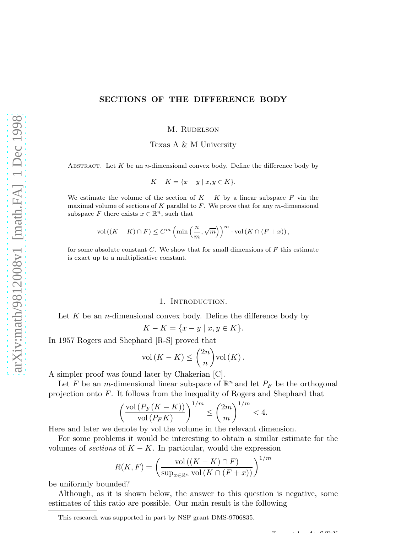## SECTIONS OF THE DIFFERENCE BODY

M. RUDELSON

Texas A & M University

ABSTRACT. Let  $K$  be an *n*-dimensional convex body. Define the difference body by

$$
K - K = \{x - y \mid x, y \in K\}.
$$

We estimate the volume of the section of  $K - K$  by a linear subspace F via the maximal volume of sections of  $K$  parallel to  $F$ . We prove that for any m-dimensional subspace F there exists  $x \in \mathbb{R}^n$ , such that

$$
\text{vol}\left(\left(K - K\right) \cap F\right) \leq C^m \left(\min\left(\frac{n}{m}, \sqrt{m}\right)\right)^m \cdot \text{vol}\left(K \cap \left(F + x\right)\right),\,
$$

for some absolute constant  $C$ . We show that for small dimensions of  $F$  this estimate is exact up to a multiplicative constant.

## 1. Introduction.

Let  $K$  be an *n*-dimensional convex body. Define the difference body by

$$
K - K = \{x - y \mid x, y \in K\}.
$$

In 1957 Rogers and Shephard [R-S] proved that

$$
\text{vol}\left(K - K\right) \le \binom{2n}{n} \text{vol}\left(K\right).
$$

A simpler proof was found later by Chakerian [C].

Let F be an m-dimensional linear subspace of  $\mathbb{R}^n$  and let  $P_F$  be the orthogonal projection onto F. It follows from the inequality of Rogers and Shephard that

$$
\left(\frac{\text{vol}\left(P_F(K-K)\right)}{\text{vol}\left(P_F K\right)}\right)^{1/m} \le \binom{2m}{m}^{1/m} < 4.
$$

Here and later we denote by vol the volume in the relevant dimension.

For some problems it would be interesting to obtain a similar estimate for the volumes of *sections* of  $K - K$ . In particular, would the expression

$$
R(K, F) = \left(\frac{\text{vol}\left((K - K) \cap F\right)}{\text{sup}_{x \in \mathbb{R}^n} \text{vol}\left(K \cap (F + x)\right)}\right)^{1/m}
$$

be uniformly bounded?

Although, as it is shown below, the answer to this question is negative, some estimates of this ratio are possible. Our main result is the following

 $T$  and  $T$ 

This research was supported in part by NSF grant DMS-9706835.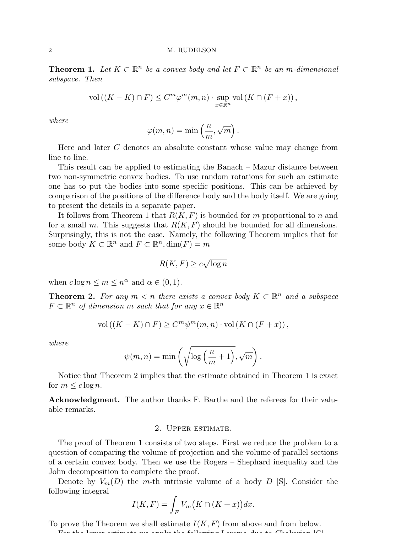### 2 M. RUDELSON

**Theorem 1.** Let  $K \subset \mathbb{R}^n$  be a convex body and let  $F \subset \mathbb{R}^n$  be an m-dimensional subspace. Then

$$
\text{vol}\left((K-K)\cap F\right) \leq C^m \varphi^m(m,n) \cdot \sup_{x\in\mathbb{R}^n} \text{vol}\left(K\cap (F+x)\right),
$$

where

$$
\varphi(m, n) = \min\left(\frac{n}{m}, \sqrt{m}\right).
$$

Here and later C denotes an absolute constant whose value may change from line to line.

This result can be applied to estimating the Banach – Mazur distance between two non-symmetric convex bodies. To use random rotations for such an estimate one has to put the bodies into some specific positions. This can be achieved by comparison of the positions of the difference body and the body itself. We are going to present the details in a separate paper.

It follows from Theorem 1 that  $R(K, F)$  is bounded for m proportional to n and for a small m. This suggests that  $R(K, F)$  should be bounded for all dimensions. Surprisingly, this is not the case. Namely, the following Theorem implies that for some body  $K \subset \mathbb{R}^n$  and  $F \subset \mathbb{R}^n$ ,  $\dim(F) = m$ 

$$
R(K, F) \ge c\sqrt{\log n}
$$

when  $c \log n \le m \le n^{\alpha}$  and  $\alpha \in (0, 1)$ .

**Theorem 2.** For any  $m < n$  there exists a convex body  $K \subset \mathbb{R}^n$  and a subspace  $F \subset \mathbb{R}^n$  of dimension m such that for any  $x \in \mathbb{R}^n$ 

$$
\text{vol}\left((K-K)\cap F\right)\geq C^m\psi^m(m,n)\cdot \text{vol}\left(K\cap (F+x)\right),
$$

where

$$
\psi(m, n) = \min\left(\sqrt{\log\left(\frac{n}{m} + 1\right)}, \sqrt{m}\right).
$$

Notice that Theorem 2 implies that the estimate obtained in Theorem 1 is exact for  $m \leq c \log n$ .

Acknowledgment. The author thanks F. Barthe and the referees for their valuable remarks.

## 2. Upper estimate.

The proof of Theorem 1 consists of two steps. First we reduce the problem to a question of comparing the volume of projection and the volume of parallel sections of a certain convex body. Then we use the Rogers – Shephard inequality and the John decomposition to complete the proof.

Denote by  $V_m(D)$  the m-th intrinsic volume of a body D [S]. Consider the following integral

$$
I(K, F) = \int_F V_m\big(K \cap (K + x)\big)dx.
$$

To prove the Theorem we shall estimate  $I(K, F)$  from above and from below.

For the lower estimate we apply the following Lemma due to Chakerian [C].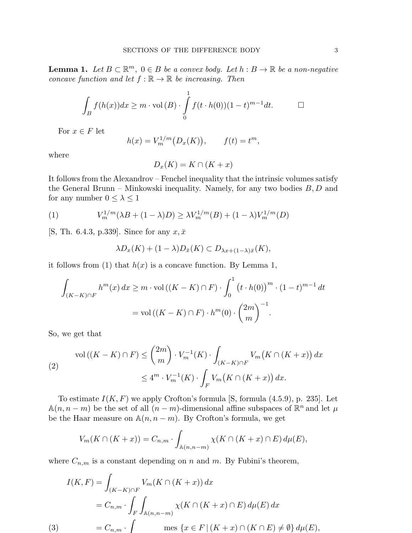**Lemma 1.** Let  $B \subset \mathbb{R}^m$ ,  $0 \in B$  be a convex body. Let  $h : B \to \mathbb{R}$  be a non-negative concave function and let  $f : \mathbb{R} \to \mathbb{R}$  be increasing. Then

$$
\int_B f(h(x))dx \ge m \cdot \text{vol}(B) \cdot \int_0^1 f(t \cdot h(0))(1-t)^{m-1}dt. \qquad \Box
$$

For  $x \in F$  let

$$
h(x) = V_m^{1/m}(D_x(K)), \qquad f(t) = t^m,
$$

where

$$
D_x(K) = K \cap (K + x)
$$

It follows from the Alexandrov – Fenchel inequality that the intrinsic volumes satisfy the General Brunn – Minkowski inequality. Namely, for any two bodies  $B, D$  and for any number  $0 \leq \lambda \leq 1$ 

(1) 
$$
V_m^{1/m}(\lambda B + (1 - \lambda)D) \ge \lambda V_m^{1/m}(B) + (1 - \lambda)V_m^{1/m}(D)
$$

[S, Th. 6.4.3, p.339]. Since for any  $x, \bar{x}$ 

$$
\lambda D_x(K) + (1 - \lambda)D_{\bar{x}}(K) \subset D_{\lambda x + (1 - \lambda)\bar{x}}(K),
$$

it follows from (1) that  $h(x)$  is a concave function. By Lemma 1,

$$
\int_{(K-K)\cap F} h^m(x) dx \ge m \cdot \text{vol}\left((K-K)\cap F\right) \cdot \int_0^1 \left(t \cdot h(0)\right)^m \cdot (1-t)^{m-1} dt
$$

$$
= \text{vol}\left((K-K)\cap F\right) \cdot h^m(0) \cdot \binom{2m}{m}^{-1}.
$$

So, we get that

$$
\text{vol}\left((K-K)\cap F\right) \le \binom{2m}{m} \cdot V_m^{-1}(K) \cdot \int_{(K-K)\cap F} V_m\big(K\cap (K+x)\big) \, dx
$$
\n
$$
\le 4^m \cdot V_m^{-1}(K) \cdot \int_F V_m\big(K\cap (K+x)\big) \, dx.
$$

To estimate  $I(K, F)$  we apply Crofton's formula [S, formula  $(4.5.9)$ , p. 235]. Let  $\mathbb{A}(n, n-m)$  be the set of all  $(n-m)$ -dimensional affine subspaces of  $\mathbb{R}^n$  and let  $\mu$ be the Haar measure on  $\mathbb{A}(n, n-m)$ . By Crofton's formula, we get

$$
V_m(K \cap (K+x)) = C_{n,m} \cdot \int_{\mathbb{A}(n,n-m)} \chi(K \cap (K+x) \cap E) d\mu(E),
$$

where  $C_{n,m}$  is a constant depending on n and m. By Fubini's theorem,

$$
I(K, F) = \int_{(K-K)\cap F} V_m(K \cap (K+x)) dx
$$
  
=  $C_{n,m} \cdot \int_F \int_{\mathbb{A}(n,n-m)} \chi(K \cap (K+x) \cap E) d\mu(E) dx$   
(3) 
$$
= C_{n,m} \cdot \int \text{mes } \{x \in F \mid (K+x) \cap (K \cap E) \neq \emptyset\} d\mu(E),
$$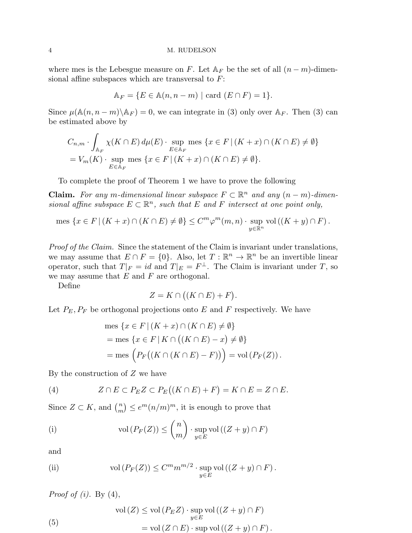## 4 M. RUDELSON

where mes is the Lebesgue measure on F. Let  $A_F$  be the set of all  $(n-m)$ -dimensional affine subspaces which are transversal to  $F$ :

$$
\mathbb{A}_F = \{ E \in \mathbb{A}(n, n-m) \mid \text{card } (E \cap F) = 1 \}.
$$

Since  $\mu(\mathbb{A}(n, n-m) \backslash \mathbb{A}_F) = 0$ , we can integrate in (3) only over  $\mathbb{A}_F$ . Then (3) can be estimated above by

$$
C_{n,m} \cdot \int_{\mathbb{A}_F} \chi(K \cap E) d\mu(E) \cdot \sup_{E \in \mathbb{A}_F} \text{mes } \{ x \in F \mid (K+x) \cap (K \cap E) \neq \emptyset \}
$$
  
=  $V_m(K) \cdot \sup_{E \in \mathbb{A}_F} \text{mes } \{ x \in F \mid (K+x) \cap (K \cap E) \neq \emptyset \}.$ 

To complete the proof of Theorem 1 we have to prove the following

**Claim.** For any m-dimensional linear subspace  $F \subset \mathbb{R}^n$  and any  $(n - m)$ -dimensional affine subspace  $E \subset \mathbb{R}^n$ , such that E and F intersect at one point only,

mes 
$$
\{x \in F \mid (K + x) \cap (K \cap E) \neq \emptyset\} \leq C^m \varphi^m(m, n) \cdot \sup_{y \in \mathbb{R}^n} \text{vol}((K + y) \cap F).
$$

Proof of the Claim. Since the statement of the Claim is invariant under translations, we may assume that  $E \cap F = \{0\}$ . Also, let  $T : \mathbb{R}^n \to \mathbb{R}^n$  be an invertible linear operator, such that  $T|_F = id$  and  $T|_E = F^{\perp}$ . The Claim is invariant under T, so we may assume that  $E$  and  $F$  are orthogonal.

Define

$$
Z = K \cap ((K \cap E) + F).
$$

Let  $P_E, P_F$  be orthogonal projections onto E and F respectively. We have

mes 
$$
\{x \in F | (K + x) \cap (K \cap E) \neq \emptyset\}
$$
  
= mes  $\{x \in F | K \cap ((K \cap E) - x) \neq \emptyset\}$   
= mes  $\left(P_F((K \cap (K \cap E) - F))\right) = \text{vol}(P_F(Z)).$ 

By the construction of  $Z$  we have

(4) 
$$
Z \cap E \subset P_E Z \subset P_E ((K \cap E) + F) = K \cap E = Z \cap E.
$$

Since  $Z \subset K$ , and  $\binom{n}{m}$  $\binom{n}{m} \leq e^m (n/m)^m$ , it is enough to prove that

(i) vol 
$$
(P_F(Z)) \leq {n \choose m} \cdot \sup_{y \in E} \text{vol}((Z + y) \cap F)
$$

and

(ii) 
$$
\text{vol}(P_F(Z)) \leq C^m m^{m/2} \cdot \sup_{y \in E} \text{vol}((Z+y) \cap F).
$$

*Proof of (i)*. By  $(4)$ ,

(5) 
$$
\operatorname{vol}(Z) \le \operatorname{vol}(P_E Z) \cdot \sup_{y \in E} \operatorname{vol}((Z + y) \cap F)
$$

$$
= \operatorname{vol}(Z \cap E) \cdot \sup \operatorname{vol}((Z + y) \cap F).
$$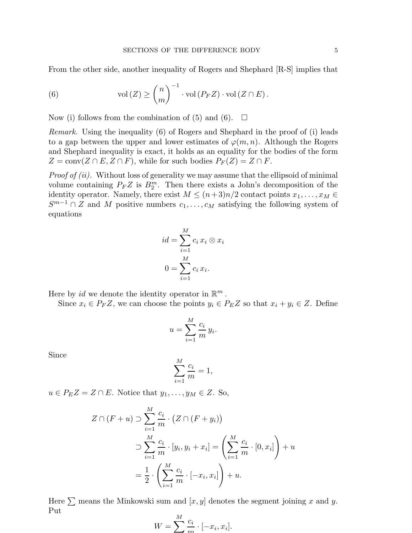From the other side, another inequality of Rogers and Shephard [R-S] implies that

(6) 
$$
\text{vol}(Z) \ge \binom{n}{m}^{-1} \cdot \text{vol}(P_F Z) \cdot \text{vol}(Z \cap E).
$$

Now (i) follows from the combination of (5) and (6).  $\Box$ 

Remark. Using the inequality (6) of Rogers and Shephard in the proof of (i) leads to a gap between the upper and lower estimates of  $\varphi(m, n)$ . Although the Rogers and Shephard inequality is exact, it holds as an equality for the bodies of the form  $Z = \text{conv}(Z \cap E, Z \cap F)$ , while for such bodies  $P_F(Z) = Z \cap F$ .

Proof of (ii). Without loss of generality we may assume that the ellipsoid of minimal volume containing  $P_F Z$  is  $B_2^m$ . Then there exists a John's decomposition of the identity operator. Namely, there exist  $M \leq (n+3)n/2$  contact points  $x_1, \ldots, x_M \in$  $S^{m-1} \cap Z$  and M positive numbers  $c_1, \ldots, c_M$  satisfying the following system of equations

$$
id = \sum_{i=1}^{M} c_i x_i \otimes x_i
$$

$$
0 = \sum_{i=1}^{M} c_i x_i.
$$

Here by *id* we denote the identity operator in  $\mathbb{R}^m$ .

Since  $x_i \in P_F Z$ , we can choose the points  $y_i \in P_E Z$  so that  $x_i + y_i \in Z$ . Define

.

$$
u = \sum_{i=1}^{M} \frac{c_i}{m} y_i
$$

Since

$$
\sum_{i=1}^{M} \frac{c_i}{m} = 1,
$$

 $u \in P_E Z = Z \cap E$ . Notice that  $y_1, \ldots, y_M \in Z$ . So,

$$
Z \cap (F+u) \supset \sum_{i=1}^{M} \frac{c_i}{m} \cdot (Z \cap (F+y_i))
$$
  

$$
\supset \sum_{i=1}^{M} \frac{c_i}{m} \cdot [y_i, y_i + x_i] = \left(\sum_{i=1}^{M} \frac{c_i}{m} \cdot [0, x_i]\right) + u
$$
  

$$
= \frac{1}{2} \cdot \left(\sum_{i=1}^{M} \frac{c_i}{m} \cdot [-x_i, x_i]\right) + u.
$$

Here  $\sum$  means the Minkowski sum and  $[x, y]$  denotes the segment joining x and y. Put

$$
W = \sum_{i=1}^{M} \frac{c_i}{m} \cdot [-x_i, x_i].
$$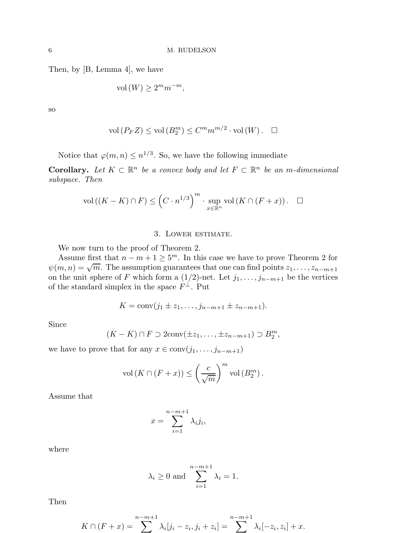Then, by [B, Lemma 4], we have

$$
vol(W) \ge 2^m m^{-m},
$$

so

$$
\text{vol}(P_F Z) \le \text{vol}(B_2^m) \le C^m m^{m/2} \cdot \text{vol}(W). \quad \Box
$$

Notice that  $\varphi(m,n) \leq n^{1/3}$ . So, we have the following immediate

**Corollary.** Let  $K \subset \mathbb{R}^n$  be a convex body and let  $F \subset \mathbb{R}^n$  be an m-dimensional subspace. Then

$$
\text{vol}\left((K - K) \cap F\right) \le \left(C \cdot n^{1/3}\right)^m \cdot \sup_{x \in \mathbb{R}^n} \text{vol}\left(K \cap (F + x)\right). \quad \Box
$$

# 3. Lower estimate.

We now turn to the proof of Theorem 2.

Assume first that  $n - m + 1 \ge 5^m$ . In this case we have to prove Theorem 2 for  $\psi(m,n) = \sqrt{m}$ . The assumption guarantees that one can find points  $z_1, \ldots, z_{n-m+1}$ on the unit sphere of F which form a  $(1/2)$ -net. Let  $j_1, \ldots, j_{n-m+1}$  be the vertices of the standard simplex in the space  $F^{\perp}$ . Put

$$
K = \text{conv}(j_1 \pm z_1, \ldots, j_{n-m+1} \pm z_{n-m+1}).
$$

Since

$$
(K-K)\cap F\supset 2\mathrm{conv}(\pm z_1,\ldots,\pm z_{n-m+1})\supset B_2^m,
$$

we have to prove that for any  $x \in \text{conv}(j_1, \ldots, j_{n-m+1})$ 

$$
\text{vol}(K \cap (F+x)) \le \left(\frac{c}{\sqrt{m}}\right)^m \text{vol}(B_2^m).
$$

Assume that

$$
x = \sum_{i=1}^{n-m+1} \lambda_i j_i,
$$

where

$$
\lambda_i \ge 0
$$
 and  $\sum_{i=1}^{n-m+1} \lambda_i = 1$ .

Then

$$
K \cap (F + x) = \sum_{i=1}^{n-m+1} \lambda_i [j_i - z_i, j_i + z_i] = \sum_{i=1}^{n-m+1} \lambda_i [-z_i, z_i] + x.
$$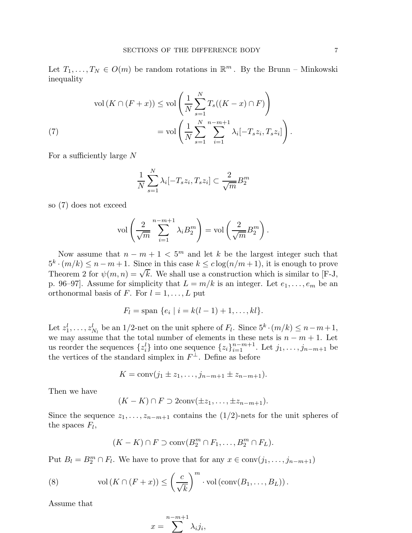Let  $T_1, \ldots, T_N \in O(m)$  be random rotations in  $\mathbb{R}^m$ . By the Brunn – Minkowski inequality

$$
\operatorname{vol}\left(K \cap (F+x)\right) \le \operatorname{vol}\left(\frac{1}{N} \sum_{s=1}^{N} T_s((K-x) \cap F)\right)
$$

$$
= \operatorname{vol}\left(\frac{1}{N} \sum_{s=1}^{N} \sum_{i=1}^{n-m+1} \lambda_i[-T_s z_i, T_s z_i]\right).
$$

For a sufficiently large N

$$
\frac{1}{N} \sum_{s=1}^{N} \lambda_i [-T_s z_i, T_s z_i] \subset \frac{2}{\sqrt{m}} B_2^m
$$

so (7) does not exceed

$$
\text{vol}\left(\frac{2}{\sqrt{m}}\sum_{i=1}^{n-m+1} \lambda_i B_2^m\right) = \text{vol}\left(\frac{2}{\sqrt{m}} B_2^m\right).
$$

Now assume that  $n - m + 1 < 5<sup>m</sup>$  and let k be the largest integer such that  $5^k \cdot (m/k) \leq n - m + 1$ . Since in this case  $k \leq c \log(n/m + 1)$ , it is enough to prove Theorem 2 for  $\psi(m,n) = \sqrt{k}$ . We shall use a construction which is similar to [F-J, p. 96–97]. Assume for simplicity that  $L = m/k$  is an integer. Let  $e_1, \ldots, e_m$  be an orthonormal basis of F. For  $l = 1, \ldots, L$  put

$$
F_l = \text{span } \{e_i \mid i = k(l-1)+1, \ldots, kl\}.
$$

Let  $z_1^l, \ldots, z_{N_l}^l$  be an 1/2-net on the unit sphere of  $F_l$ . Since  $5^k \cdot (m/k) \leq n-m+1$ , we may assume that the total number of elements in these nets is  $n - m + 1$ . Let us reorder the sequences  $\{z_i\}$  into one sequence  $\{z_i\}_{i=1}^{n-m+1}$ . Let  $j_1, \ldots, j_{n-m+1}$  be the vertices of the standard simplex in  $F^{\perp}$ . Define as before

$$
K = \text{conv}(j_1 \pm z_1, \ldots, j_{n-m+1} \pm z_{n-m+1}).
$$

Then we have

$$
(K-K)\cap F\supset 2\mathrm{conv}(\pm z_1,\ldots,\pm z_{n-m+1}).
$$

Since the sequence  $z_1, \ldots, z_{n-m+1}$  contains the  $(1/2)$ -nets for the unit spheres of the spaces  $F_l$ ,

$$
(K-K)\cap F\supset \text{conv}(B_2^m\cap F_1,\ldots,B_2^m\cap F_L).
$$

Put  $B_l = B_2^m \cap F_l$ . We have to prove that for any  $x \in \text{conv}(j_1, \ldots, j_{n-m+1})$ 

(8) vol 
$$
(K \cap (F + x)) \leq \left(\frac{c}{\sqrt{k}}\right)^m \cdot \text{vol}(\text{conv}(B_1, ..., B_L)).
$$

Assume that

$$
x = \sum_{i=1}^{n-m+1} \lambda_i j_i,
$$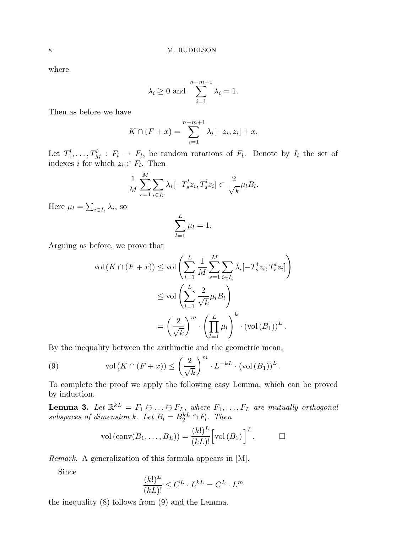where

$$
\lambda_i \ge 0
$$
 and  $\sum_{i=1}^{n-m+1} \lambda_i = 1$ .

Then as before we have

$$
K \cap (F + x) = \sum_{i=1}^{n-m+1} \lambda_i [-z_i, z_i] + x.
$$

Let  $T_1^l, \ldots, T_M^l : F_l \to F_l$ , be random rotations of  $F_l$ . Denote by  $I_l$  the set of indexes *i* for which  $z_i \in F_l$ . Then

$$
\frac{1}{M} \sum_{s=1}^{M} \sum_{i \in I_l} \lambda_i [-T_s^l z_i, T_s^l z_i] \subset \frac{2}{\sqrt{k}} \mu_l B_l.
$$

Here  $\mu_l = \sum_{i \in I_l} \lambda_i$ , so

$$
\sum_{l=1}^{L} \mu_l = 1.
$$

Arguing as before, we prove that

$$
\operatorname{vol}(K \cap (F + x)) \le \operatorname{vol}\left(\sum_{l=1}^{L} \frac{1}{M} \sum_{s=1}^{M} \sum_{i \in I_l} \lambda_i [-T_s^l z_i, T_s^l z_i]\right)
$$
  

$$
\le \operatorname{vol}\left(\sum_{l=1}^{L} \frac{2}{\sqrt{k}} \mu_l B_l\right)
$$
  

$$
= \left(\frac{2}{\sqrt{k}}\right)^m \cdot \left(\prod_{l=1}^{L} \mu_l\right)^k \cdot \left(\operatorname{vol}(B_1)\right)^L.
$$

By the inequality between the arithmetic and the geometric mean,

(9) 
$$
\text{vol}(K \cap (F+x)) \le \left(\frac{2}{\sqrt{k}}\right)^m \cdot L^{-kL} \cdot (\text{vol}(B_1))^L
$$

To complete the proof we apply the following easy Lemma, which can be proved by induction.

.

**Lemma 3.** Let  $\mathbb{R}^{kL} = F_1 \oplus \ldots \oplus F_{L}$ , where  $F_1, \ldots, F_L$  are mutually orthogonal subspaces of dimension k. Let  $B_l = B_2^{kL} \cap F_l$ . Then

$$
\text{vol}(\text{conv}(B_1,\ldots,B_L)) = \frac{(k!)^L}{(kL)!} \Big[ \text{vol}(B_1) \Big]^L.
$$

Remark. A generalization of this formula appears in [M].

Since

$$
\frac{(k!)^L}{(kL)!} \leq C^L \cdot L^{kL} = C^L \cdot L^m
$$

the inequality (8) follows from (9) and the Lemma.